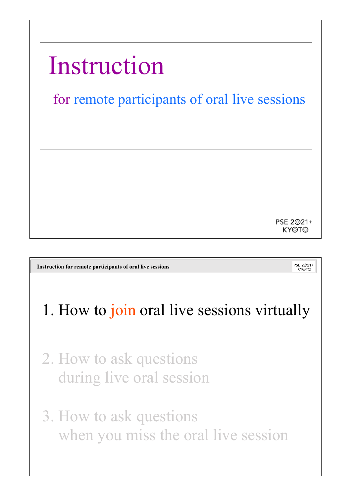

**Instruction for remote participants of oral live sessions**

PSE 2<sup>021+</sup> **KYOTO** 

## 1. How to join oral live sessions virtually

- 2. How to ask questions during live oral session
- 3. How to ask questions when you miss the oral live session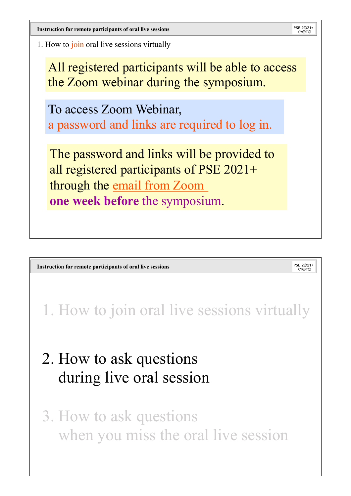PSE 2021 **Instruction for remote participants of oral live sessions** 1. How to join oral live sessions virtually All registered participants will be able to access the Zoom webinar during the symposium. To access Zoom Webinar, a password and links are required to log in. The password and links will be provided to all registered participants of PSE 2021+ through the email from Zoom **one week before** the symposium.

**Instruction for remote participants of oral live sessions**

PSE 2<sup>021+</sup> **KYOTO** 

1. How to join oral live sessions virtually

## 2. How to ask questions during live oral session

3. How to ask questions when you miss the oral live session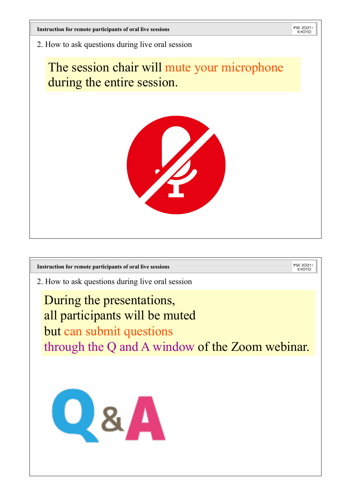PSE 2021 **Instruction for remote participants of oral live sessions** 2. How to ask questions during live oral session The session chair will mute your microphone during the entire session. PSE 2<sup>021+</sup>

**Instruction for remote participants of oral live sessionsKYOTO** 2. How to ask questions during live oral session During the presentations, all participants will be muted but can submit questions through the Q and A window of the Zoom webinar.

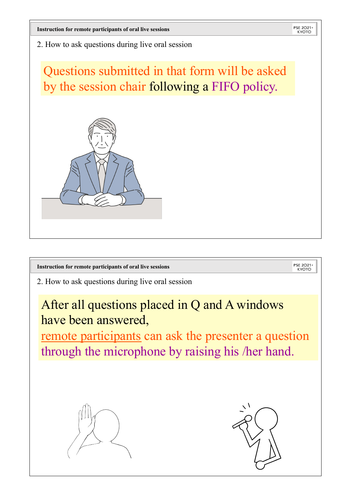2. How to ask questions during live oral session

Questions submitted in that form will be asked by the session chair following a FIFO policy.



PSE 2<sup>021+</sup> **Instruction for remote participants of oral live sessionsKYOTO** 2. How to ask questions during live oral session After all questions placed in Q and A windows have been answered, remote participants can ask the presenter a question through the microphone by raising his /her hand.

PSE 2021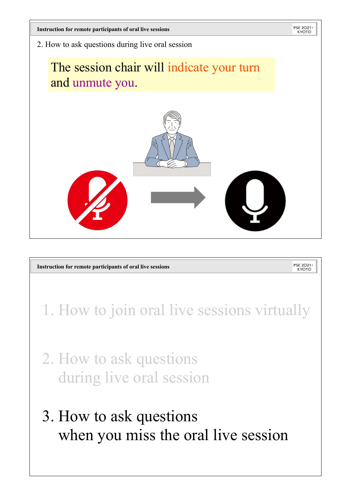

## 3. How to ask questions when you miss the oral live session